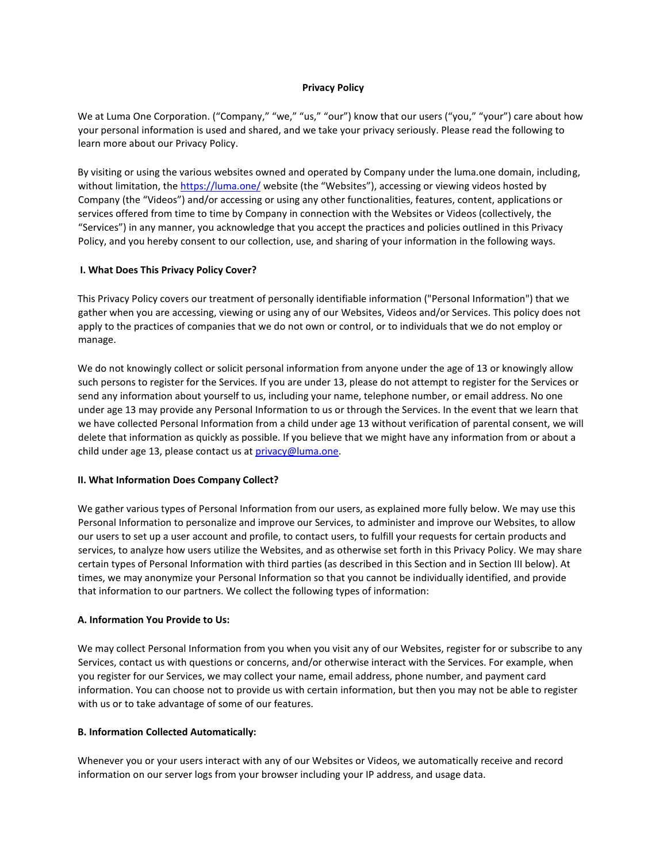### **Privacy Policy**

We at Luma One Corporation. ("Company," "we," "us," "our") know that our users ("you," "your") care about how your personal information is used and shared, and we take your privacy seriously. Please read the following to learn more about our Privacy Policy.

By visiting or using the various websites owned and operated by Company under the luma.one domain, including, without limitation, th[e https://luma.one/](https://luma.one/) website (the "Websites"), accessing or viewing videos hosted by Company (the "Videos") and/or accessing or using any other functionalities, features, content, applications or services offered from time to time by Company in connection with the Websites or Videos (collectively, the "Services") in any manner, you acknowledge that you accept the practices and policies outlined in this Privacy Policy, and you hereby consent to our collection, use, and sharing of your information in the following ways.

#### **[I. What Does This Privacy Policy Cover?](https://wistia.com/privacy#i-what-does-this-privacy-policy-cover)**

This Privacy Policy covers our treatment of personally identifiable information ("Personal Information") that we gather when you are accessing, viewing or using any of our Websites, Videos and/or Services. This policy does not apply to the practices of companies that we do not own or control, or to individuals that we do not employ or manage.

We do not knowingly collect or solicit personal information from anyone under the age of 13 or knowingly allow such persons to register for the Services. If you are under 13, please do not attempt to register for the Services or send any information about yourself to us, including your name, telephone number, or email address. No one under age 13 may provide any Personal Information to us or through the Services. In the event that we learn that we have collected Personal Information from a child under age 13 without verification of parental consent, we will delete that information as quickly as possible. If you believe that we might have any information from or about a child under age 13, please contact us at  $\frac{p}{\text{prior}(Q)}$ luma.one.

#### **[II. What Information Does Company Collect?](https://wistia.com/privacy#ii-what-information-does-company-collect)**

We gather various types of Personal Information from our users, as explained more fully below. We may use this Personal Information to personalize and improve our Services, to administer and improve our Websites, to allow our users to set up a user account and profile, to contact users, to fulfill your requests for certain products and services, to analyze how users utilize the Websites, and as otherwise set forth in this Privacy Policy. We may share certain types of Personal Information with third parties (as described in this Section and in Section III below). At times, we may anonymize your Personal Information so that you cannot be individually identified, and provide that information to our partners. We collect the following types of information:

#### **[A. Information You Provide to Us:](https://wistia.com/privacy#a-information-you-provide-to-us)**

We may collect Personal Information from you when you visit any of our Websites, register for or subscribe to any Services, contact us with questions or concerns, and/or otherwise interact with the Services. For example, when you register for our Services, we may collect your name, email address, phone number, and payment card information. You can choose not to provide us with certain information, but then you may not be able to register with us or to take advantage of some of our features.

#### **[B. Information Collected Automatically:](https://wistia.com/privacy#b-information-collected-automatically)**

Whenever you or your users interact with any of our Websites or Videos, we automatically receive and record information on our server logs from your browser including your IP address, and usage data.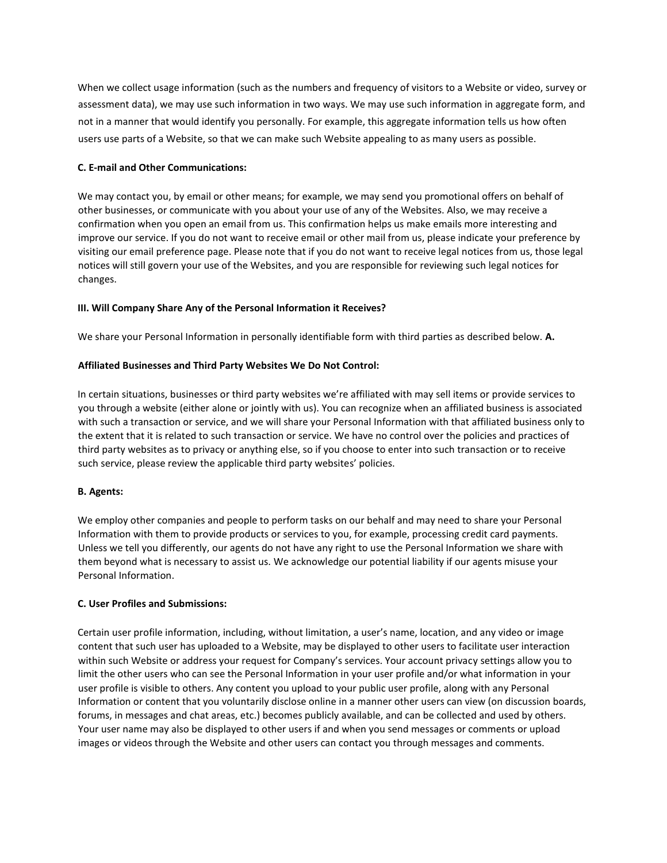When we collect usage information (such as the numbers and frequency of visitors to a Website or video, survey or assessment data), we may use such information in two ways. We may use such information in aggregate form, and not in a manner that would identify you personally. For example, this aggregate information tells us how often users use parts of a Website, so that we can make such Website appealing to as many users as possible.

# **[C. E-mail and Other Communications:](https://wistia.com/privacy#c-e-mail-and-other-communications)**

We may contact you, by email or other means; for example, we may send you promotional offers on behalf of other businesses, or communicate with you about your use of any of the Websites. Also, we may receive a confirmation when you open an email from us. This confirmation helps us make emails more interesting and improve our service. If you do not want to receive email or other mail from us, please indicate your preference by visiting our email preference page. Please note that if you do not want to receive legal notices from us, those legal notices will still govern your use of the Websites, and you are responsible for reviewing such legal notices for changes.

## **[III. Will Company Share Any of the Personal Information it Receives?](https://wistia.com/privacy#iii-will-company-share-any-of-the-personal-information-it-receives)**

We share your Personal Information in personally identifiable form with third parties as described below. **[A.](https://wistia.com/privacy#a-affiliated-businesses-and-third-party-websites-we-do-not-control)** 

## **[Affiliated Businesses and Third Party Websites We](https://wistia.com/privacy#a-affiliated-businesses-and-third-party-websites-we-do-not-control) [Do Not Control:](https://wistia.com/privacy#a-affiliated-businesses-and-third-party-websites-we-do-not-control)**

In certain situations, businesses or third party websites we're affiliated with may sell items or provide services to you through a website (either alone or jointly with us). You can recognize when an affiliated business is associated with such a transaction or service, and we will share your Personal Information with that affiliated business only to the extent that it is related to such transaction or service. We have no control over the policies and practices of third party websites as to privacy or anything else, so if you choose to enter into such transaction or to receive such service, please review the applicable third party websites' policies.

# **[B. Agents:](https://wistia.com/privacy#b-agents)**

We employ other companies and people to perform tasks on our behalf and may need to share your Personal Information with them to provide products or services to you, for example, processing credit card payments. Unless we tell you differently, our agents do not have any right to use the Personal Information we share with them beyond what is necessary to assist us. We acknowledge our potential liability if our agents misuse your Personal Information.

#### **[C.](https://wistia.com/privacy#c-user-profiles-and-submissions) [User Profiles and Submissions:](https://wistia.com/privacy#c-user-profiles-and-submissions)**

Certain user profile information, including, without limitation, a user's name, location, and any video or image content that such user has uploaded to a Website, may be displayed to other users to facilitate user interaction within such Website or address your request for Company's services. Your account privacy settings allow you to limit the other users who can see the Personal Information in your user profile and/or what information in your user profile is visible to others. Any content you upload to your public user profile, along with any Personal Information or content that you voluntarily disclose online in a manner other users can view (on discussion boards, forums, in messages and chat areas, etc.) becomes publicly available, and can be collected and used by others. Your user name may also be displayed to other users if and when you send messages or comments or upload images or videos through the Website and other users can contact you through messages and comments.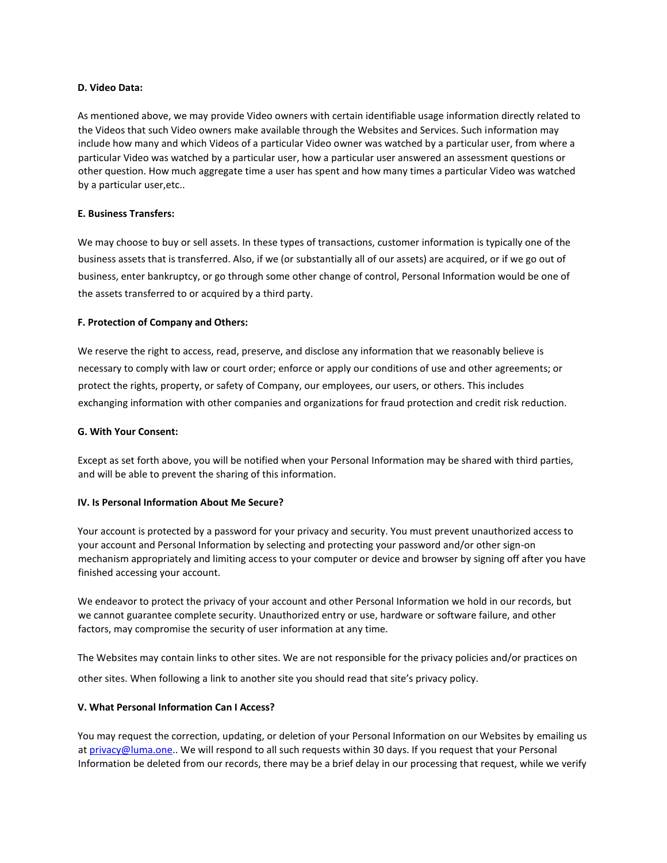### **[D. Video Data:](https://wistia.com/privacy#d-video-data)**

As mentioned above, we may provide Video owners with certain identifiable usage information directly related to the Videos that such Video owners make available through the Websites and Services. Such information may include how many and which Videos of a particular Video owner was watched by a particular user, from where a particular Video was watched by a particular user, how a particular user answered an assessment questions or other question. How much aggregate time a user has spent and how many times a particular Video was watched by a particular user,etc..

## **[E. Business Transfers:](https://wistia.com/privacy#e-business-transfers)**

We may choose to buy or sell assets. In these types of transactions, customer information is typically one of the business assets that is transferred. Also, if we (or substantially all of our assets) are acquired, or if we go out of business, enter bankruptcy, or go through some other change of control, Personal Information would be one of the assets transferred to or acquired by a third party.

## **[F. Protection of Company and Others:](https://wistia.com/privacy#f-protection-of-company-and-others)**

We reserve the right to access, read, preserve, and disclose any information that we reasonably believe is necessary to comply with law or court order; enforce or apply our conditions of use and other agreements; or protect the rights, property, or safety of Company, our employees, our users, or others. This includes exchanging information with other companies and organizations for fraud protection and credit risk reduction.

## **[G. With Your](https://wistia.com/privacy#g-with-your-consent) Consent[:](https://wistia.com/privacy#g-with-your-consent)**

Except as set forth above, you will be notified when your Personal Information may be shared with third parties, and will be able to prevent the sharing of this information.

#### **[IV. Is Personal Information About Me Secure?](https://wistia.com/privacy#iv-is-personal-information-about-me-secure)**

Your account is protected by a password for your privacy and security. You must prevent unauthorized access to your account and Personal Information by selecting and protecting your password and/or other sign-on mechanism appropriately and limiting access to your computer or device and browser by signing off after you have finished accessing your account.

We endeavor to protect the privacy of your account and other Personal Information we hold in our records, but we cannot guarantee complete security. Unauthorized entry or use, hardware or software failure, and other factors, may compromise the security of user information at any time.

The Websites may contain links to other sites. We are not responsible for the privacy policies and/or practices on other sites. When following a link to another site you should read that site's privacy policy.

#### **[V. What Personal Information Can I Access?](https://wistia.com/privacy#v-what-personal-information-can-i-access)**

You may request the correction, updating, or deletion of your Personal Information on our Websites by emailing us at privacy@luma.one.. We will respond to all such requests within 30 days. If you request that your Personal Information be deleted from our records, there may be a brief delay in our processing that request, while we verify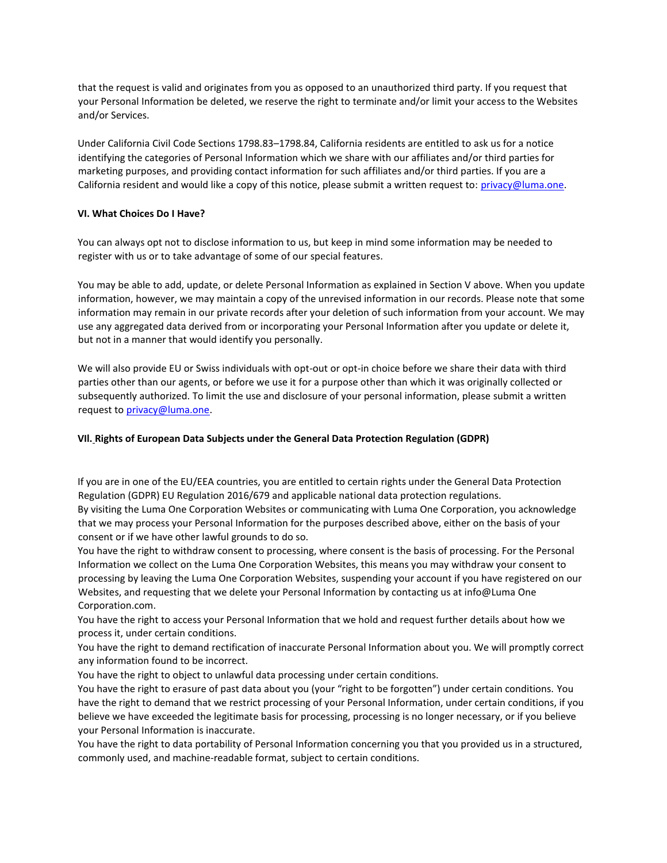that the request is valid and originates from you as opposed to an unauthorized third party. If you request that your Personal Information be deleted, we reserve the right to terminate and/or limit your access to the Websites and/or Services.

Under California Civil Code Sections 1798.83–1798.84, California residents are entitled to ask us for a notice identifying the categories of Personal Information which we share with our affiliates and/or third parties for marketing purposes, and providing contact information for such affiliates and/or third parties. If you are a California resident and would like a copy of this notice, please submit a written request to: privacy@luma.one.

#### **[VI. What Choices Do I Have?](https://wistia.com/privacy#vi-what-choices-do-i-have)**

You can always opt not to disclose information to us, but keep in mind some information may be needed to register with us or to take advantage of some of our special features.

You may be able to add, update, or delete Personal Information as explained in Section V above. When you update information, however, we may maintain a copy of the unrevised information in our records. Please note that some information may remain in our private records after your deletion of such information from your account. We may use any aggregated data derived from or incorporating your Personal Information after you update or delete it, but not in a manner that would identify you personally.

We will also provide EU or Swiss individuals with opt-out or opt-in choice before we share their data with third parties other than our agents, or before we use it for a purpose other than which it was originally collected or subsequently authorized. To limit the use and disclosure of your personal information, please submit a written request to privacy@luma.one.

#### **[VIl.](https://wistia.com/privacy#vi-what-choices-do-i-have) [Rights of European Data Subjects under the General Data Protection Regulation \(GDPR\)](https://wistia.com/privacy#vi-what-choices-do-i-have)**

If you are in one of the EU/EEA countries, you are entitled to certain rights under the General Data Protection Regulation (GDPR) EU Regulation 2016/679 and applicable national data protection regulations. By visiting the Luma One Corporation Websites or communicating with Luma One Corporation, you acknowledge that we may process your Personal Information for the purposes described above, either on the basis of your consent or if we have other lawful grounds to do so.

You have the right to withdraw consent to processing, where consent is the basis of processing. For the Personal Information we collect on the Luma One Corporation Websites, this means you may withdraw your consent to processing by leaving the Luma One Corporation Websites, suspending your account if you have registered on our Websites, and requesting that we delete your Personal Information by contacting us at info@Luma One Corporation.com.

You have the right to access your Personal Information that we hold and request further details about how we process it, under certain conditions.

You have the right to demand rectification of inaccurate Personal Information about you. We will promptly correct any information found to be incorrect.

You have the right to object to unlawful data processing under certain conditions.

You have the right to erasure of past data about you (your "right to be forgotten") under certain conditions. You have the right to demand that we restrict processing of your Personal Information, under certain conditions, if you believe we have exceeded the legitimate basis for processing, processing is no longer necessary, or if you believe your Personal Information is inaccurate.

You have the right to data portability of Personal Information concerning you that you provided us in a structured, commonly used, and machine-readable format, subject to certain conditions.